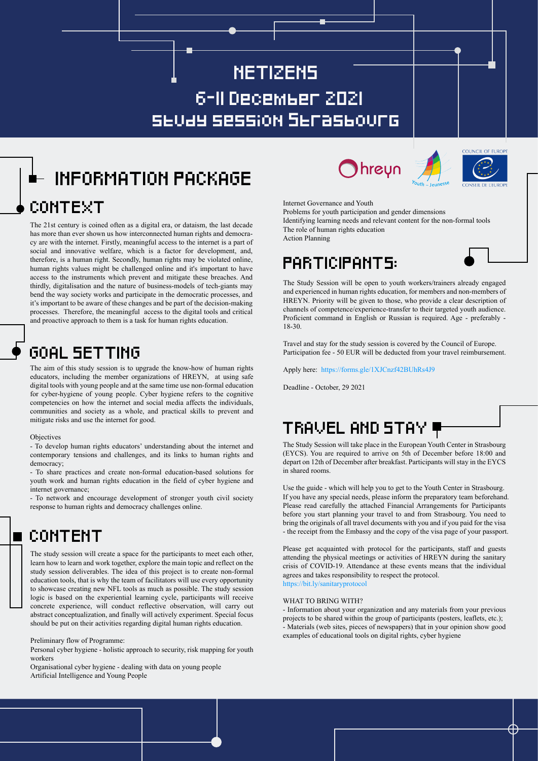# NETIZENS study session Strasbourg 6-11 December 2021

# INFORMATION PACKAGE CONTEXT

The 21st century is coined often as a digital era, or dataism, the last decade has more than ever shown us how interconnected human rights and democracy are with the internet. Firstly, meaningful access to the internet is a part of social and innovative welfare, which is a factor for development, and, therefore, is a human right. Secondly, human rights may be violated online, human rights values might be challenged online and it's important to have access to the instruments which prevent and mitigate these breaches. And thirdly, digitalisation and the nature of business-models of tech-giants may bend the way society works and participate in the democratic processes, and it's important to be aware of these changes and be part of the decision-making processes. Therefore, the meaningful access to the digital tools and critical and proactive approach to them is a task for human rights education.

## GOAL SETTING

The aim of this study session is to upgrade the know-how of human rights educators, including the member organizations of HREYN, at using safe digital tools with young people and at the same time use non-formal education for cyber-hygiene of young people. Cyber hygiene refers to the cognitive competencies on how the internet and social media affects the individuals, communities and society as a whole, and practical skills to prevent and mitigate risks and use the internet for good.

### **Objectives**

- To develop human rights educators' understanding about the internet and contemporary tensions and challenges, and its links to human rights and democracy;

- To share practices and create non-formal education-based solutions for youth work and human rights education in the field of cyber hygiene and internet governance;

- To network and encourage development of stronger youth civil society response to human rights and democracy challenges online.

## CONTENT

The study session will create a space for the participants to meet each other, learn how to learn and work together, explore the main topic and reflect on the study session deliverables. The idea of this project is to create non-formal education tools, that is why the team of facilitators will use every opportunity to showcase creating new NFL tools as much as possible. The study session logic is based on the experiential learning cycle, participants will receive concrete experience, will conduct reflective observation, will carry out abstract conceptualization, and finally will actively experiment. Special focus should be put on their activities regarding digital human rights education.

Preliminary flow of Programme:

Personal cyber hygiene - holistic approach to security, risk mapping for youth workers

Organisational cyber hygiene - dealing with data on young people Artificial Intelligence and Young People







Internet Governance and Youth

Problems for youth participation and gender dimensions Identifying learning needs and relevant content for the non-formal tools The role of human rights education Action Planning

PARTICIPANTS:

The Study Session will be open to youth workers/trainers already engaged and experienced in human rights education, for members and non-members of HREYN. Priority will be given to those, who provide a clear description of channels of competence/experience-transfer to their targeted youth audience. Proficient command in English or Russian is required. Age - preferably - 18-30.

Travel and stay for the study session is covered by the Council of Europe. Participation fee - 50 EUR will be deducted from your travel reimbursement.

Apply here: https://forms.gle/1XJCnzf42BUhRs4J9

Deadline - October, 29 2021

## TRAVEL AND STAY

The Study Session will take place in the European Youth Center in Strasbourg (EYCS). You are required to arrive on 5th of December before 18:00 and depart on 12th of December after breakfast. Participants will stay in the EYCS in shared rooms.

Use the guide - which will help you to get to the Youth Center in Strasbourg. If you have any special needs, please inform the preparatory team beforehand. Please read carefully the attached Financial Arrangements for Participants before you start planning your travel to and from Strasbourg. You need to bring the originals of all travel documents with you and if you paid for the visa - the receipt from the Embassy and the copy of the visa page of your passport.

Please get acquainted with protocol for the participants, staff and guests attending the physical meetings or activities of HREYN during the sanitary crisis of COVID-19. Attendance at these events means that the individual agrees and takes responsibility to respect the protocol. https://bit.ly/sanitaryprotocol

### WHAT TO BRING WITH?

- Information about your organization and any materials from your previous projects to be shared within the group of participants (posters, leaflets, etc.); - Materials (web sites, pieces of newspapers) that in your opinion show good examples of educational tools on digital rights, cyber hygiene